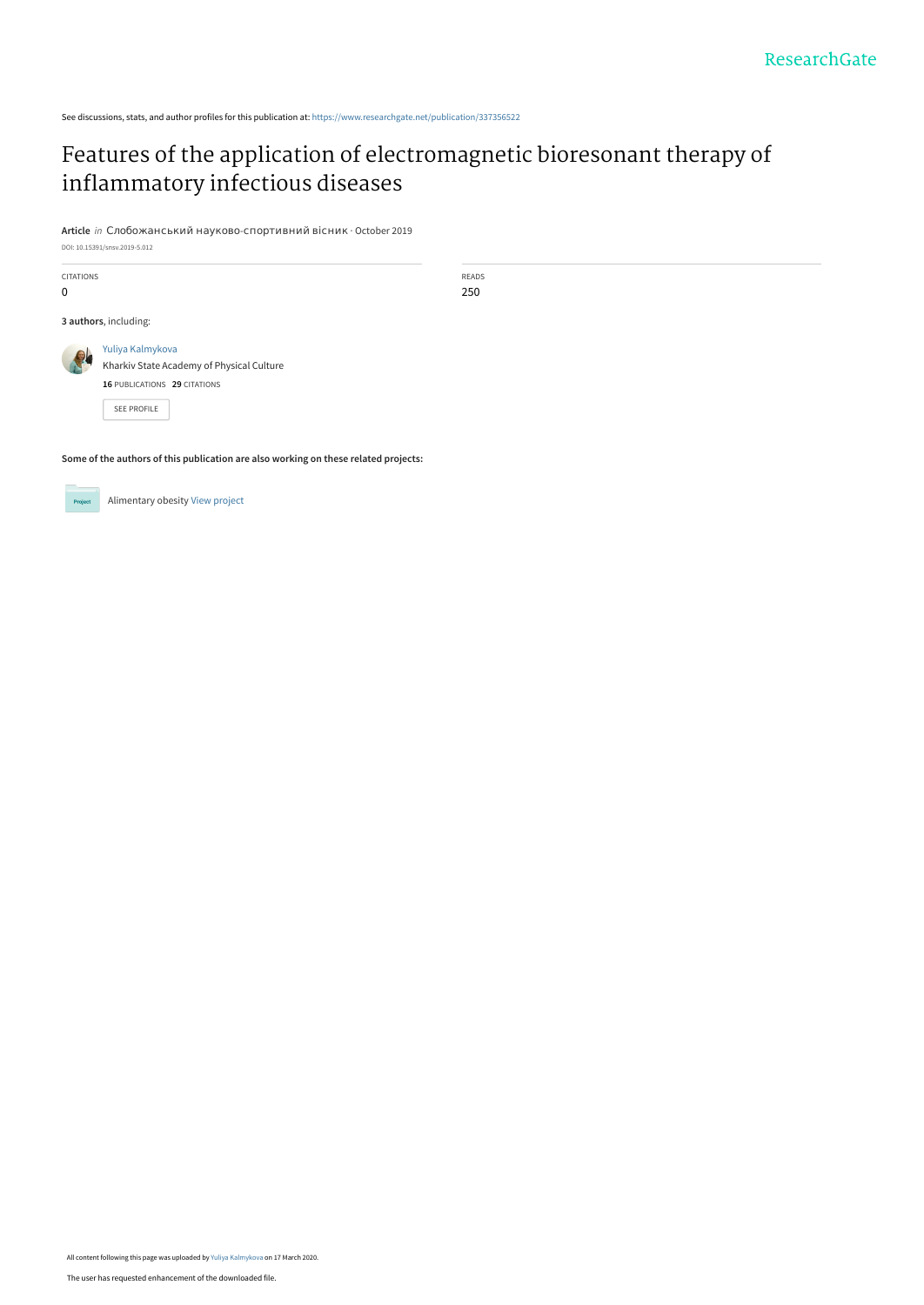See discussions, stats, and author profiles for this publication at: [https://www.researchgate.net/publication/337356522](https://www.researchgate.net/publication/337356522_Features_of_the_application_of_electromagnetic_bioresonant_therapy_of_inflammatory_infectious_diseases?enrichId=rgreq-b924ada7f483f4d7aa06bacee26035dc-XXX&enrichSource=Y292ZXJQYWdlOzMzNzM1NjUyMjtBUzo4NzAyMjA1NDk4NzM2NjRAMTU4NDQ4ODE1NTI1Ng%3D%3D&el=1_x_2&_esc=publicationCoverPdf)

## [Features of the application of electromagnetic bioresonant therapy of](https://www.researchgate.net/publication/337356522_Features_of_the_application_of_electromagnetic_bioresonant_therapy_of_inflammatory_infectious_diseases?enrichId=rgreq-b924ada7f483f4d7aa06bacee26035dc-XXX&enrichSource=Y292ZXJQYWdlOzMzNzM1NjUyMjtBUzo4NzAyMjA1NDk4NzM2NjRAMTU4NDQ4ODE1NTI1Ng%3D%3D&el=1_x_3&_esc=publicationCoverPdf) inflammatory infectious diseases

READS 250

**Article** in Слобожанський науково-спортивний вісник · October 2019

DOI: 10.15391/snsv.2019-5.012

CITATIONS 0 **3 authors**, including: [Yuliya Kalmykova](https://www.researchgate.net/profile/Yuliya-Kalmykova-2?enrichId=rgreq-b924ada7f483f4d7aa06bacee26035dc-XXX&enrichSource=Y292ZXJQYWdlOzMzNzM1NjUyMjtBUzo4NzAyMjA1NDk4NzM2NjRAMTU4NDQ4ODE1NTI1Ng%3D%3D&el=1_x_5&_esc=publicationCoverPdf) Kharkiv State Academy of Physical Culture **16** PUBLICATIONS **29** CITATIONS [SEE PROFILE](https://www.researchgate.net/profile/Yuliya-Kalmykova-2?enrichId=rgreq-b924ada7f483f4d7aa06bacee26035dc-XXX&enrichSource=Y292ZXJQYWdlOzMzNzM1NjUyMjtBUzo4NzAyMjA1NDk4NzM2NjRAMTU4NDQ4ODE1NTI1Ng%3D%3D&el=1_x_7&_esc=publicationCoverPdf)

**Some of the authors of this publication are also working on these related projects:**

Alimentary obesity [View project](https://www.researchgate.net/project/Alimentary-obesity?enrichId=rgreq-b924ada7f483f4d7aa06bacee26035dc-XXX&enrichSource=Y292ZXJQYWdlOzMzNzM1NjUyMjtBUzo4NzAyMjA1NDk4NzM2NjRAMTU4NDQ4ODE1NTI1Ng%3D%3D&el=1_x_9&_esc=publicationCoverPdf) Project

All content following this page was uploaded by [Yuliya Kalmykova](https://www.researchgate.net/profile/Yuliya-Kalmykova-2?enrichId=rgreq-b924ada7f483f4d7aa06bacee26035dc-XXX&enrichSource=Y292ZXJQYWdlOzMzNzM1NjUyMjtBUzo4NzAyMjA1NDk4NzM2NjRAMTU4NDQ4ODE1NTI1Ng%3D%3D&el=1_x_10&_esc=publicationCoverPdf) on 17 March 2020.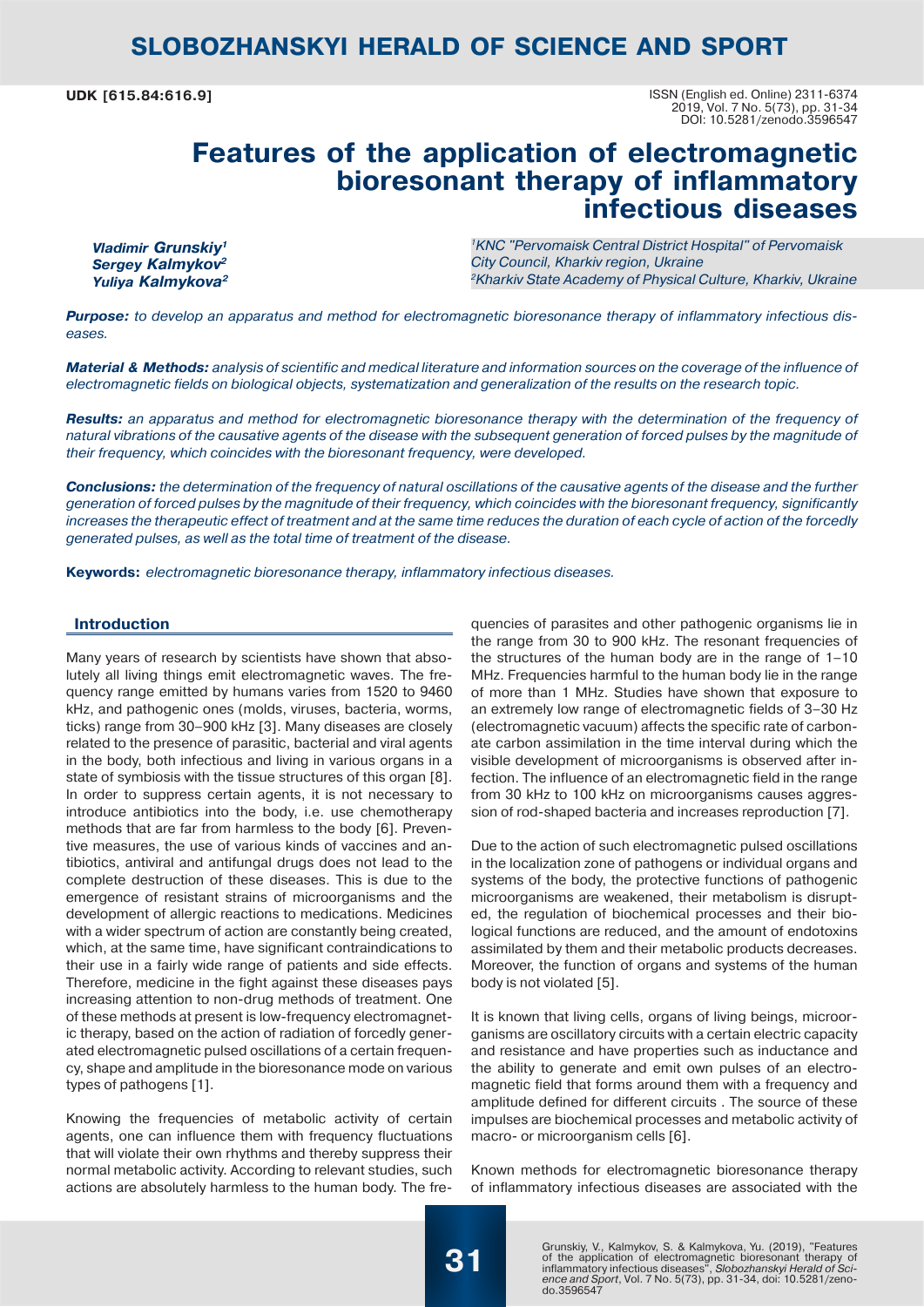**UDK [615.84:616.9]**

ISSN (English ed. Online) 2311-6374 2019, Vol. 7 No. 5(73), pp. 31-34 DOI: 10.5281/zenodo.3596547

## **Features of the application of electromagnetic bioresonant therapy of inflammatory infectious diseases**

*Vladimir Grunskiy1 Sergey Kalmykov2 Yuliya Kalmykova2* *1KNC "Pervomaisk Central District Hospital" of Pervomaisk City Council, Kharkiv region, Ukraine 2Kharkiv State Academy of Physical Culture, Kharkiv, Ukraine*

*Purpose: to develop an apparatus and method for electromagnetic bioresonance therapy of inflammatory infectious diseases.* 

*Material & Methods: analysis of scientific and medical literature and information sources on the coverage of the influence of electromagnetic fields on biological objects, systematization and generalization of the results on the research topic.* 

*Results: an apparatus and method for electromagnetic bioresonance therapy with the determination of the frequency of natural vibrations of the causative agents of the disease with the subsequent generation of forced pulses by the magnitude of their frequency, which coincides with the bioresonant frequency, were developed.* 

*Conclusions: the determination of the frequency of natural oscillations of the causative agents of the disease and the further generation of forced pulses by the magnitude of their frequency, which coincides with the bioresonant frequency, significantly increases the therapeutic effect of treatment and at the same time reduces the duration of each cycle of action of the forcedly generated pulses, as well as the total time of treatment of the disease.*

**Keywords:** *electromagnetic bioresonance therapy, inflammatory infectious diseases.*

#### **Introduction**

Many years of research by scientists have shown that absolutely all living things emit electromagnetic waves. The frequency range emitted by humans varies from 1520 to 9460 kHz, and pathogenic ones (molds, viruses, bacteria, worms, ticks) range from 30–900 kHz [3]. Many diseases are closely related to the presence of parasitic, bacterial and viral agents in the body, both infectious and living in various organs in a state of symbiosis with the tissue structures of this organ [8]. In order to suppress certain agents, it is not necessary to introduce antibiotics into the body, i.e. use chemotherapy methods that are far from harmless to the body [6]. Preventive measures, the use of various kinds of vaccines and antibiotics, antiviral and antifungal drugs does not lead to the complete destruction of these diseases. This is due to the emergence of resistant strains of microorganisms and the development of allergic reactions to medications. Medicines with a wider spectrum of action are constantly being created, which, at the same time, have significant contraindications to their use in a fairly wide range of patients and side effects. Therefore, medicine in the fight against these diseases pays increasing attention to non-drug methods of treatment. One of these methods at present is low-frequency electromagnetic therapy, based on the action of radiation of forcedly generated electromagnetic pulsed oscillations of a certain frequency, shape and amplitude in the bioresonance mode on various types of pathogens [1].

Knowing the frequencies of metabolic activity of certain agents, one can influence them with frequency fluctuations that will violate their own rhythms and thereby suppress their normal metabolic activity. According to relevant studies, such actions are absolutely harmless to the human body. The frequencies of parasites and other pathogenic organisms lie in the range from 30 to 900 kHz. The resonant frequencies of the structures of the human body are in the range of 1–10 MHz. Frequencies harmful to the human body lie in the range of more than 1 MHz. Studies have shown that exposure to an extremely low range of electromagnetic fields of 3–30 Hz (electromagnetic vacuum) affects the specific rate of carbonate carbon assimilation in the time interval during which the visible development of microorganisms is observed after infection. The influence of an electromagnetic field in the range from 30 kHz to 100 kHz on microorganisms causes aggression of rod-shaped bacteria and increases reproduction [7].

Due to the action of such electromagnetic pulsed oscillations in the localization zone of pathogens or individual organs and systems of the body, the protective functions of pathogenic microorganisms are weakened, their metabolism is disrupted, the regulation of biochemical processes and their biological functions are reduced, and the amount of endotoxins assimilated by them and their metabolic products decreases. Moreover, the function of organs and systems of the human body is not violated [5].

It is known that living cells, organs of living beings, microorganisms are oscillatory circuits with a certain electric capacity and resistance and have properties such as inductance and the ability to generate and emit own pulses of an electromagnetic field that forms around them with a frequency and amplitude defined for different circuits . The source of these impulses are biochemical processes and metabolic activity of macro- or microorganism cells [6].

Known methods for electromagnetic bioresonance therapy of inflammatory infectious diseases are associated with the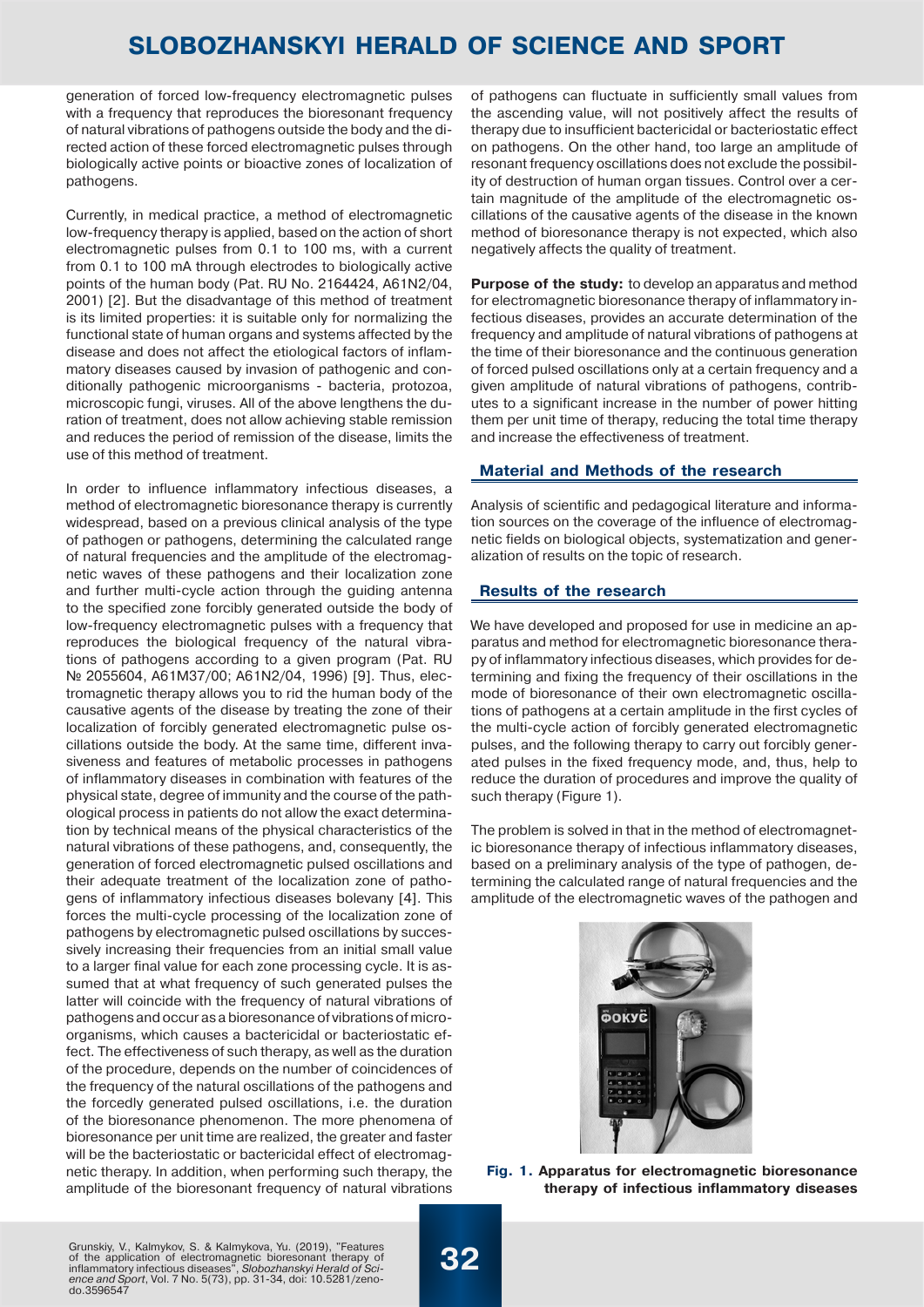generation of forced low-frequency electromagnetic pulses with a frequency that reproduces the bioresonant frequency of natural vibrations of pathogens outside the body and the directed action of these forced electromagnetic pulses through biologically active points or bioactive zones of localization of pathogens.

Currently, in medical practice, a method of electromagnetic low-frequency therapy is applied, based on the action of short electromagnetic pulses from 0.1 to 100 ms, with a current from 0.1 to 100 mA through electrodes to biologically active points of the human body (Pat. RU No. 2164424, A61N2/04, 2001) [2]. But the disadvantage of this method of treatment is its limited properties: it is suitable only for normalizing the functional state of human organs and systems affected by the disease and does not affect the etiological factors of inflammatory diseases caused by invasion of pathogenic and conditionally pathogenic microorganisms - bacteria, protozoa, microscopic fungi, viruses. All of the above lengthens the duration of treatment, does not allow achieving stable remission and reduces the period of remission of the disease, limits the use of this method of treatment.

In order to influence inflammatory infectious diseases, a method of electromagnetic bioresonance therapy is currently widespread, based on a previous clinical analysis of the type of pathogen or pathogens, determining the calculated range of natural frequencies and the amplitude of the electromagnetic waves of these pathogens and their localization zone and further multi-cycle action through the guiding antenna to the specified zone forcibly generated outside the body of low-frequency electromagnetic pulses with a frequency that reproduces the biological frequency of the natural vibrations of pathogens according to a given program (Pat. RU № 2055604, А61М37/00; А61N2/04, 1996) [9]. Thus, electromagnetic therapy allows you to rid the human body of the causative agents of the disease by treating the zone of their localization of forcibly generated electromagnetic pulse oscillations outside the body. At the same time, different invasiveness and features of metabolic processes in pathogens of inflammatory diseases in combination with features of the physical state, degree of immunity and the course of the pathological process in patients do not allow the exact determination by technical means of the physical characteristics of the natural vibrations of these pathogens, and, consequently, the generation of forced electromagnetic pulsed oscillations and their adequate treatment of the localization zone of pathogens of inflammatory infectious diseases bolevany [4]. This forces the multi-cycle processing of the localization zone of pathogens by electromagnetic pulsed oscillations by successively increasing their frequencies from an initial small value to a larger final value for each zone processing cycle. It is assumed that at what frequency of such generated pulses the latter will coincide with the frequency of natural vibrations of pathogens and occur as a bioresonance of vibrations of microorganisms, which causes a bactericidal or bacteriostatic effect. The effectiveness of such therapy, as well as the duration of the procedure, depends on the number of coincidences of the frequency of the natural oscillations of the pathogens and the forcedly generated pulsed oscillations, i.e. the duration of the bioresonance phenomenon. The more phenomena of bioresonance per unit time are realized, the greater and faster will be the bacteriostatic or bactericidal effect of electromagnetic therapy. In addition, when performing such therapy, the amplitude of the bioresonant frequency of natural vibrations

of pathogens can fluctuate in sufficiently small values from the ascending value, will not positively affect the results of therapy due to insufficient bactericidal or bacteriostatic effect on pathogens. On the other hand, too large an amplitude of resonant frequency oscillations does not exclude the possibility of destruction of human organ tissues. Control over a certain magnitude of the amplitude of the electromagnetic oscillations of the causative agents of the disease in the known method of bioresonance therapy is not expected, which also negatively affects the quality of treatment.

**Purpose of the study:** to develop an apparatus and method for electromagnetic bioresonance therapy of inflammatory infectious diseases, provides an accurate determination of the frequency and amplitude of natural vibrations of pathogens at the time of their bioresonance and the continuous generation of forced pulsed oscillations only at a certain frequency and a given amplitude of natural vibrations of pathogens, contributes to a significant increase in the number of power hitting them per unit time of therapy, reducing the total time therapy and increase the effectiveness of treatment.

### **Material and Methods of the research**

Analysis of scientific and pedagogical literature and information sources on the coverage of the influence of electromagnetic fields on biological objects, systematization and generalization of results on the topic of research.

### **Results of the research**

We have developed and proposed for use in medicine an apparatus and method for electromagnetic bioresonance therapy of inflammatory infectious diseases, which provides for determining and fixing the frequency of their oscillations in the mode of bioresonance of their own electromagnetic oscillations of pathogens at a certain amplitude in the first cycles of the multi-cycle action of forcibly generated electromagnetic pulses, and the following therapy to carry out forcibly generated pulses in the fixed frequency mode, and, thus, help to reduce the duration of procedures and improve the quality of such therapy (Figure 1).

The problem is solved in that in the method of electromagnetic bioresonance therapy of infectious inflammatory diseases, based on a preliminary analysis of the type of pathogen, determining the calculated range of natural frequencies and the amplitude of the electromagnetic waves of the pathogen and



**Fig. 1. Apparatus for electromagnetic bioresonance therapy of infectious inflammatory diseases**

Grunskiy, V., Kalmykov, S. & Kalmykova, Yu. (2019), "Features of the application of electromagnetic bioresonant therapy of inflammatory infectious diseases", *Slobozhanskyi Herald of Science and Sport*, Vol. 7 No. 5(73), pp. 31-34, doi: 10.5281/zeno-do.3596547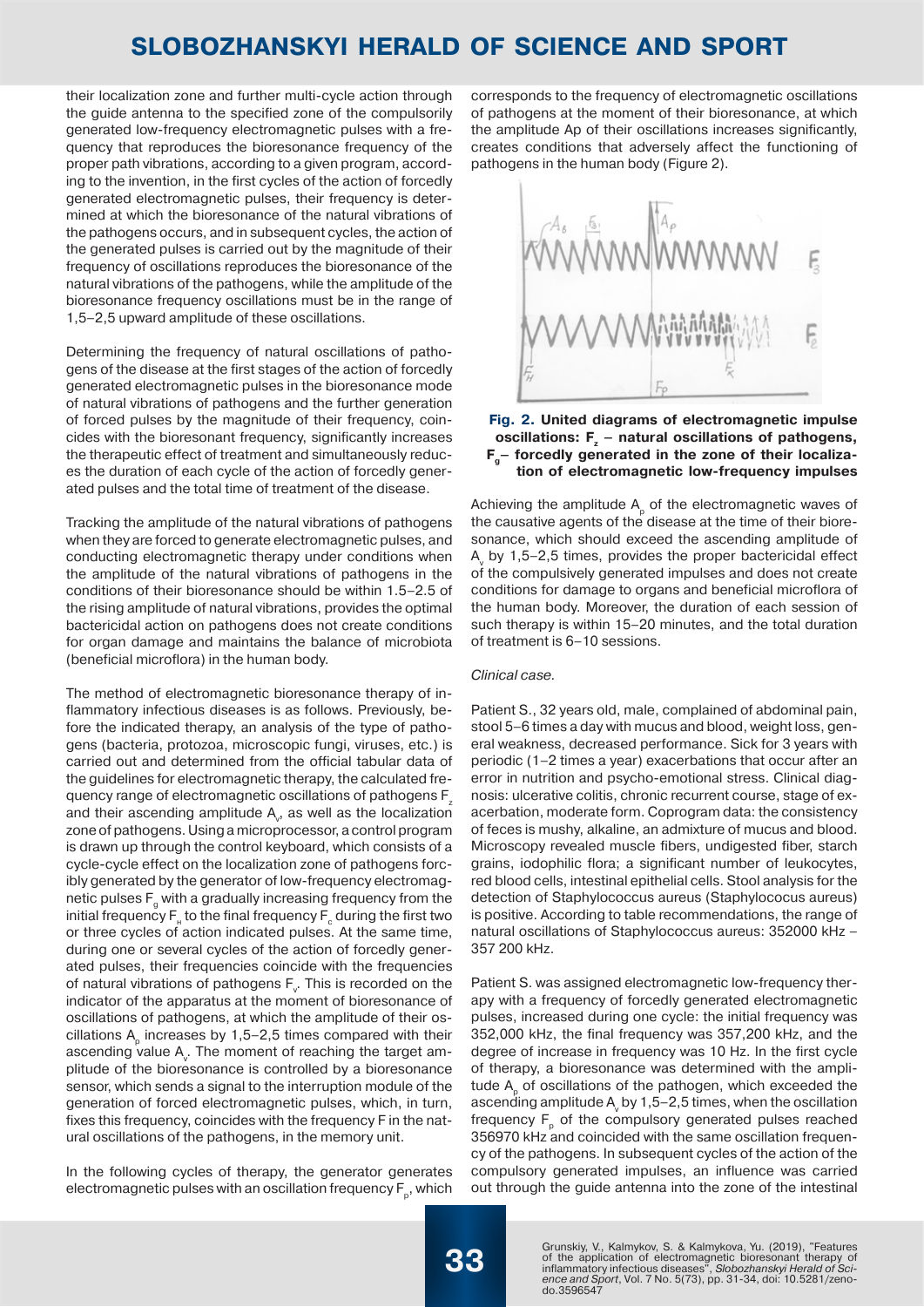their localization zone and further multi-cycle action through the guide antenna to the specified zone of the compulsorily generated low-frequency electromagnetic pulses with a frequency that reproduces the bioresonance frequency of the proper path vibrations, according to a given program, according to the invention, in the first cycles of the action of forcedly generated electromagnetic pulses, their frequency is determined at which the bioresonance of the natural vibrations of the pathogens occurs, and in subsequent cycles, the action of the generated pulses is carried out by the magnitude of their frequency of oscillations reproduces the bioresonance of the natural vibrations of the pathogens, while the amplitude of the bioresonance frequency oscillations must be in the range of 1,5–2,5 upward amplitude of these oscillations.

Determining the frequency of natural oscillations of pathogens of the disease at the first stages of the action of forcedly generated electromagnetic pulses in the bioresonance mode of natural vibrations of pathogens and the further generation of forced pulses by the magnitude of their frequency, coincides with the bioresonant frequency, significantly increases the therapeutic effect of treatment and simultaneously reduces the duration of each cycle of the action of forcedly generated pulses and the total time of treatment of the disease.

Tracking the amplitude of the natural vibrations of pathogens when they are forced to generate electromagnetic pulses, and conducting electromagnetic therapy under conditions when the amplitude of the natural vibrations of pathogens in the conditions of their bioresonance should be within 1.5–2.5 of the rising amplitude of natural vibrations, provides the optimal bactericidal action on pathogens does not create conditions for organ damage and maintains the balance of microbiota (beneficial microflora) in the human body.

The method of electromagnetic bioresonance therapy of inflammatory infectious diseases is as follows. Previously, before the indicated therapy, an analysis of the type of pathogens (bacteria, protozoa, microscopic fungi, viruses, etc.) is carried out and determined from the official tabular data of the guidelines for electromagnetic therapy, the calculated frequency range of electromagnetic oscillations of pathogens F<sub>z</sub> and their ascending amplitude  $\mathsf{A}_{\mathsf{v}}$ , as well as the localization zone of pathogens. Using a microprocessor, a control program is drawn up through the control keyboard, which consists of a cycle-cycle effect on the localization zone of pathogens forcibly generated by the generator of low-frequency electromagnetic pulses  $F_{q}$  with a gradually increasing frequency from the initial frequency  $\mathsf{F}_{_\mathsf{H}}$  to the final frequency  $\mathsf{F}_{_\mathsf{c}}$  during the first two or three cycles of action indicated pulses. At the same time, during one or several cycles of the action of forcedly generated pulses, their frequencies coincide with the frequencies of natural vibrations of pathogens  $F_{\mathbf{v}}$ . This is recorded on the indicator of the apparatus at the moment of bioresonance of oscillations of pathogens, at which the amplitude of their oscillations  $A<sub>n</sub>$  increases by 1,5–2,5 times compared with their ascending value  $\mathsf{A}_{\mathsf{v}}.$  The moment of reaching the target amplitude of the bioresonance is controlled by a bioresonance sensor, which sends a signal to the interruption module of the generation of forced electromagnetic pulses, which, in turn, fixes this frequency, coincides with the frequency F in the natural oscillations of the pathogens, in the memory unit.

In the following cycles of therapy, the generator generates electromagnetic pulses with an oscillation frequency  $F_p$ , which corresponds to the frequency of electromagnetic oscillations of pathogens at the moment of their bioresonance, at which the amplitude Ap of their oscillations increases significantly, creates conditions that adversely affect the functioning of pathogens in the human body (Figure 2).



#### **Fig. 2. United diagrams of electromagnetic impulse**  oscillations: F<sub>z</sub> - natural oscillations of pathogens, **F<sub>a</sub>** forcedly generated in the zone of their localiza**tion of electromagnetic low-frequency impulses**

Achieving the amplitude  $A_p$  of the electromagnetic waves of the causative agents of the disease at the time of their bioresonance, which should exceed the ascending amplitude of A<sub>v</sub> by 1,5–2,5 times, provides the proper bactericidal effect of the compulsively generated impulses and does not create conditions for damage to organs and beneficial microflora of the human body. Moreover, the duration of each session of such therapy is within 15–20 minutes, and the total duration of treatment is 6–10 sessions.

#### *Clinical case.*

Patient S., 32 years old, male, complained of abdominal pain, stool 5–6 times a day with mucus and blood, weight loss, general weakness, decreased performance. Sick for 3 years with periodic (1–2 times a year) exacerbations that occur after an error in nutrition and psycho-emotional stress. Clinical diagnosis: ulcerative colitis, chronic recurrent course, stage of exacerbation, moderate form. Coprogram data: the consistency of feces is mushy, alkaline, an admixture of mucus and blood. Microscopy revealed muscle fibers, undigested fiber, starch grains, iodophilic flora; a significant number of leukocytes, red blood cells, intestinal epithelial cells. Stool analysis for the detection of Staphylococcus aureus (Staphylococus aureus) is positive. According to table recommendations, the range of natural oscillations of Staphylococcus aureus: 352000 kHz – 357 200 kHz.

Patient S. was assigned electromagnetic low-frequency therapy with a frequency of forcedly generated electromagnetic pulses, increased during one cycle: the initial frequency was 352,000 kHz, the final frequency was 357,200 kHz, and the degree of increase in frequency was 10 Hz. In the first cycle of therapy, a bioresonance was determined with the amplitude A<sub>2</sub> of oscillations of the pathogen, which exceeded the ascending amplitude A, by 1,5–2,5 times, when the oscillation frequency  $F_p$  of the compulsory generated pulses reached 356970 kHz and coincided with the same oscillation frequency of the pathogens. In subsequent cycles of the action of the compulsory generated impulses, an influence was carried out through the guide antenna into the zone of the intestinal